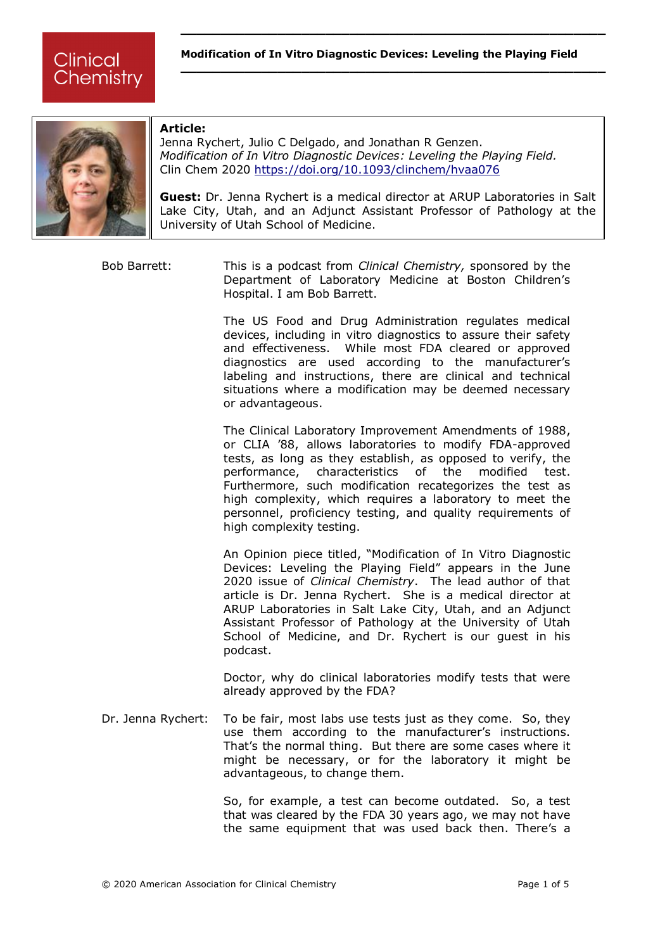**\_\_\_\_\_\_\_\_\_\_\_\_\_\_\_\_\_\_\_\_\_\_\_\_\_\_\_\_\_\_\_\_\_\_\_\_\_\_\_\_\_\_\_\_\_\_\_\_\_\_\_\_\_**



## **Article:**

Jenna Rychert, Julio C Delgado, and Jonathan R Genzen. *Modification of In Vitro Diagnostic Devices: Leveling the Playing Field.* Clin Chem 2020 <https://doi.org/10.1093/clinchem/hvaa076>

**Guest:** Dr. Jenna Rychert is a medical director at ARUP Laboratories in Salt Lake City, Utah, and an Adjunct Assistant Professor of Pathology at the University of Utah School of Medicine.

Bob Barrett: This is a podcast from *Clinical Chemistry,* sponsored by the Department of Laboratory Medicine at Boston Children's Hospital. I am Bob Barrett.

> The US Food and Drug Administration regulates medical devices, including in vitro diagnostics to assure their safety and effectiveness. While most FDA cleared or approved diagnostics are used according to the manufacturer's labeling and instructions, there are clinical and technical situations where a modification may be deemed necessary or advantageous.

> The Clinical Laboratory Improvement Amendments of 1988, or CLIA '88, allows laboratories to modify FDA-approved tests, as long as they establish, as opposed to verify, the performance, characteristics of the modified test. Furthermore, such modification recategorizes the test as high complexity, which requires a laboratory to meet the personnel, proficiency testing, and quality requirements of high complexity testing.

> An Opinion piece titled, "Modification of In Vitro Diagnostic Devices: Leveling the Playing Field" appears in the June 2020 issue of *Clinical Chemistry*. The lead author of that article is Dr. Jenna Rychert. She is a medical director at ARUP Laboratories in Salt Lake City, Utah, and an Adjunct Assistant Professor of Pathology at the University of Utah School of Medicine, and Dr. Rychert is our quest in his podcast.

> Doctor, why do clinical laboratories modify tests that were already approved by the FDA?

Dr. Jenna Rychert: To be fair, most labs use tests just as they come. So, they use them according to the manufacturer's instructions. That's the normal thing. But there are some cases where it might be necessary, or for the laboratory it might be advantageous, to change them.

> So, for example, a test can become outdated. So, a test that was cleared by the FDA 30 years ago, we may not have the same equipment that was used back then. There's a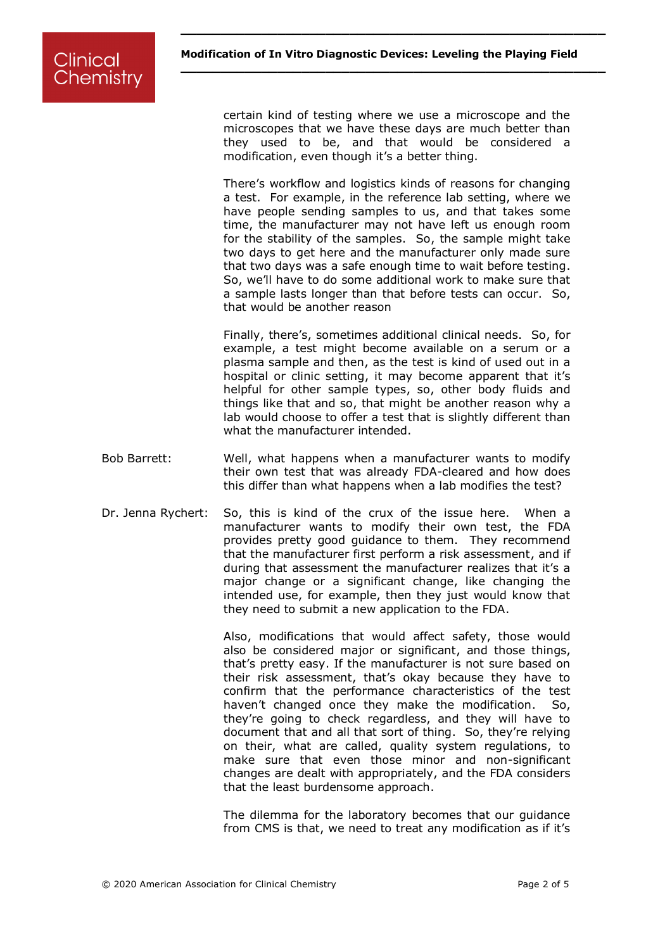**\_\_\_\_\_\_\_\_\_\_\_\_\_\_\_\_\_\_\_\_\_\_\_\_\_\_\_\_\_\_\_\_\_\_\_\_\_\_\_\_\_\_\_\_\_\_\_\_\_\_\_\_\_**

certain kind of testing where we use a microscope and the microscopes that we have these days are much better than they used to be, and that would be considered a modification, even though it's a better thing.

There's workflow and logistics kinds of reasons for changing a test. For example, in the reference lab setting, where we have people sending samples to us, and that takes some time, the manufacturer may not have left us enough room for the stability of the samples. So, the sample might take two days to get here and the manufacturer only made sure that two days was a safe enough time to wait before testing. So, we'll have to do some additional work to make sure that a sample lasts longer than that before tests can occur. So, that would be another reason

Finally, there's, sometimes additional clinical needs. So, for example, a test might become available on a serum or a plasma sample and then, as the test is kind of used out in a hospital or clinic setting, it may become apparent that it's helpful for other sample types, so, other body fluids and things like that and so, that might be another reason why a lab would choose to offer a test that is slightly different than what the manufacturer intended.

- Bob Barrett: Well, what happens when a manufacturer wants to modify their own test that was already FDA-cleared and how does this differ than what happens when a lab modifies the test?
- Dr. Jenna Rychert: So, this is kind of the crux of the issue here. When a manufacturer wants to modify their own test, the FDA provides pretty good guidance to them. They recommend that the manufacturer first perform a risk assessment, and if during that assessment the manufacturer realizes that it's a major change or a significant change, like changing the intended use, for example, then they just would know that they need to submit a new application to the FDA.

Also, modifications that would affect safety, those would also be considered major or significant, and those things, that's pretty easy. If the manufacturer is not sure based on their risk assessment, that's okay because they have to confirm that the performance characteristics of the test haven't changed once they make the modification. So, they're going to check regardless, and they will have to document that and all that sort of thing. So, they're relying on their, what are called, quality system regulations, to make sure that even those minor and non-significant changes are dealt with appropriately, and the FDA considers that the least burdensome approach.

The dilemma for the laboratory becomes that our guidance from CMS is that, we need to treat any modification as if it's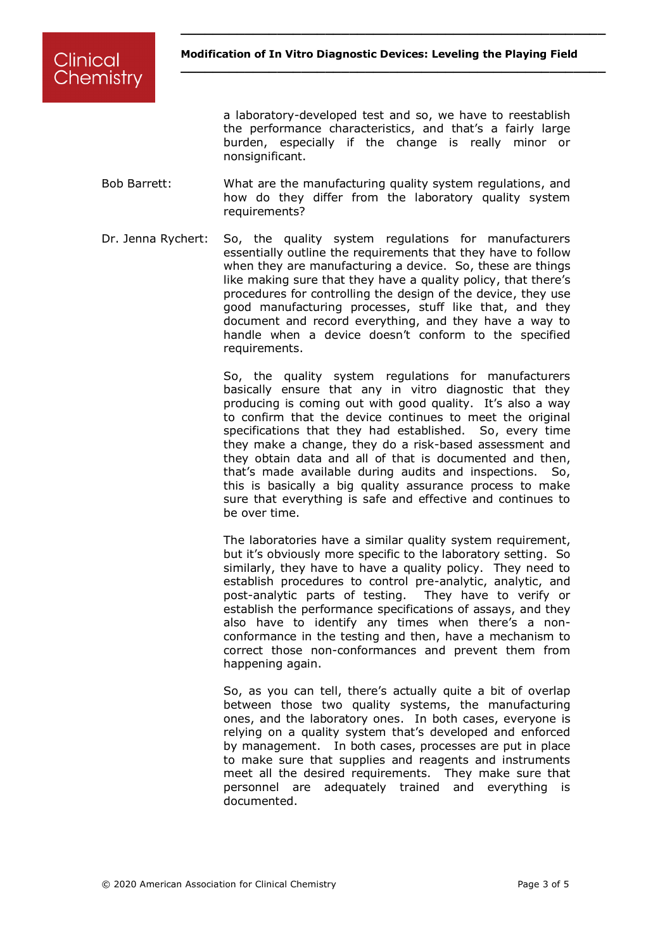**\_\_\_\_\_\_\_\_\_\_\_\_\_\_\_\_\_\_\_\_\_\_\_\_\_\_\_\_\_\_\_\_\_\_\_\_\_\_\_\_\_\_\_\_\_\_\_\_\_\_\_\_\_**

a laboratory-developed test and so, we have to reestablish the performance characteristics, and that's a fairly large burden, especially if the change is really minor or nonsignificant.

- Bob Barrett: What are the manufacturing quality system regulations, and how do they differ from the laboratory quality system requirements?
- Dr. Jenna Rychert: So, the quality system regulations for manufacturers essentially outline the requirements that they have to follow when they are manufacturing a device. So, these are things like making sure that they have a quality policy, that there's procedures for controlling the design of the device, they use good manufacturing processes, stuff like that, and they document and record everything, and they have a way to handle when a device doesn't conform to the specified requirements.

So, the quality system regulations for manufacturers basically ensure that any in vitro diagnostic that they producing is coming out with good quality. It's also a way to confirm that the device continues to meet the original specifications that they had established. So, every time they make a change, they do a risk-based assessment and they obtain data and all of that is documented and then, that's made available during audits and inspections. So, this is basically a big quality assurance process to make sure that everything is safe and effective and continues to be over time.

The laboratories have a similar quality system requirement, but it's obviously more specific to the laboratory setting. So similarly, they have to have a quality policy. They need to establish procedures to control pre-analytic, analytic, and post-analytic parts of testing. They have to verify or establish the performance specifications of assays, and they also have to identify any times when there's a nonconformance in the testing and then, have a mechanism to correct those non-conformances and prevent them from happening again.

So, as you can tell, there's actually quite a bit of overlap between those two quality systems, the manufacturing ones, and the laboratory ones. In both cases, everyone is relying on a quality system that's developed and enforced by management. In both cases, processes are put in place to make sure that supplies and reagents and instruments meet all the desired requirements. They make sure that personnel are adequately trained and everything is documented.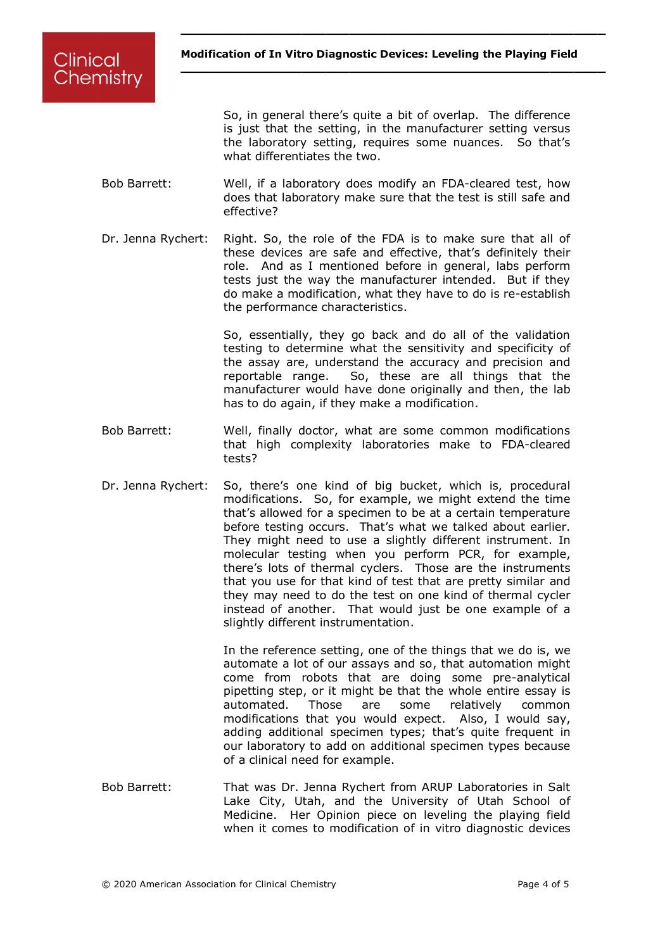**\_\_\_\_\_\_\_\_\_\_\_\_\_\_\_\_\_\_\_\_\_\_\_\_\_\_\_\_\_\_\_\_\_\_\_\_\_\_\_\_\_\_\_\_\_\_\_\_\_\_\_\_\_**

Clinical Chemistry

> So, in general there's quite a bit of overlap. The difference is just that the setting, in the manufacturer setting versus the laboratory setting, requires some nuances. So that's what differentiates the two.

- Bob Barrett: Well, if a laboratory does modify an FDA-cleared test, how does that laboratory make sure that the test is still safe and effective?
- Dr. Jenna Rychert: Right. So, the role of the FDA is to make sure that all of these devices are safe and effective, that's definitely their role. And as I mentioned before in general, labs perform tests just the way the manufacturer intended. But if they do make a modification, what they have to do is re-establish the performance characteristics.

So, essentially, they go back and do all of the validation testing to determine what the sensitivity and specificity of the assay are, understand the accuracy and precision and reportable range. So, these are all things that the manufacturer would have done originally and then, the lab has to do again, if they make a modification.

- Bob Barrett: Well, finally doctor, what are some common modifications that high complexity laboratories make to FDA-cleared tests?
- Dr. Jenna Rychert: So, there's one kind of big bucket, which is, procedural modifications. So, for example, we might extend the time that's allowed for a specimen to be at a certain temperature before testing occurs. That's what we talked about earlier. They might need to use a slightly different instrument. In molecular testing when you perform PCR, for example, there's lots of thermal cyclers. Those are the instruments that you use for that kind of test that are pretty similar and they may need to do the test on one kind of thermal cycler instead of another. That would just be one example of a slightly different instrumentation.

In the reference setting, one of the things that we do is, we automate a lot of our assays and so, that automation might come from robots that are doing some pre-analytical pipetting step, or it might be that the whole entire essay is automated. Those are some relatively common modifications that you would expect. Also, I would say, adding additional specimen types; that's quite frequent in our laboratory to add on additional specimen types because of a clinical need for example.

Bob Barrett: That was Dr. Jenna Rychert from ARUP Laboratories in Salt Lake City, Utah, and the University of Utah School of Medicine. Her Opinion piece on leveling the playing field when it comes to modification of in vitro diagnostic devices